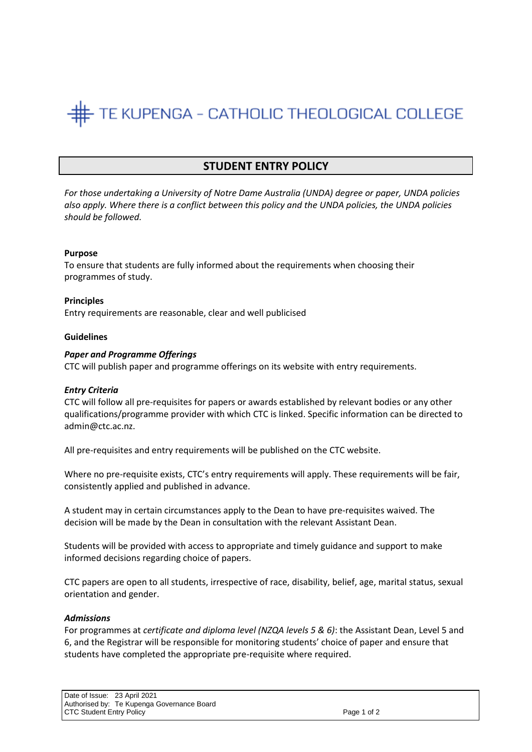# TE KUPENGA - CATHOLIC THEOLOGICAL COLLEGE

# **STUDENT ENTRY POLICY**

*For those undertaking a University of Notre Dame Australia (UNDA) degree or paper, UNDA policies also apply. Where there is a conflict between this policy and the UNDA policies, the UNDA policies should be followed.*

## **Purpose**

To ensure that students are fully informed about the requirements when choosing their programmes of study.

## **Principles**

Entry requirements are reasonable, clear and well publicised

# **Guidelines**

# *Paper and Programme Offerings*

CTC will publish paper and programme offerings on its website with entry requirements.

## *Entry Criteria*

CTC will follow all pre-requisites for papers or awards established by relevant bodies or any other qualifications/programme provider with which CTC is linked. Specific information can be directed to admin@ctc.ac.nz.

All pre-requisites and entry requirements will be published on the CTC website.

Where no pre-requisite exists, CTC's entry requirements will apply. These requirements will be fair, consistently applied and published in advance.

A student may in certain circumstances apply to the Dean to have pre-requisites waived. The decision will be made by the Dean in consultation with the relevant Assistant Dean.

Students will be provided with access to appropriate and timely guidance and support to make informed decisions regarding choice of papers.

CTC papers are open to all students, irrespective of race, disability, belief, age, marital status, sexual orientation and gender.

## *Admissions*

For programmes at *certificate and diploma level (NZQA levels 5 & 6)*: the Assistant Dean, Level 5 and 6, and the Registrar will be responsible for monitoring students' choice of paper and ensure that students have completed the appropriate pre-requisite where required.